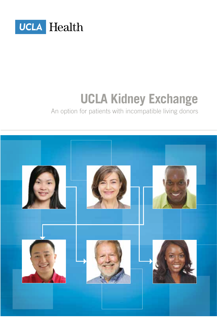

# **UCLA Kidney Exchange**

An option for patients with incompatible living donors

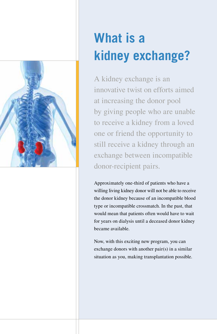

# **What is a kidney exchange?**

A kidney exchange is an innovative twist on efforts aimed at increasing the donor pool by giving people who are unable to receive a kidney from a loved one or friend the opportunity to still receive a kidney through an exchange between incompatible donor-recipient pairs.

Approximately one-third of patients who have a willing living kidney donor will not be able to receive the donor kidney because of an incompatible blood type or incompatible crossmatch. In the past, that would mean that patients often would have to wait for years on dialysis until a deceased donor kidney became available.

Now, with this exciting new program, you can exchange donors with another pair(s) in a similar situation as you, making transplantation possible.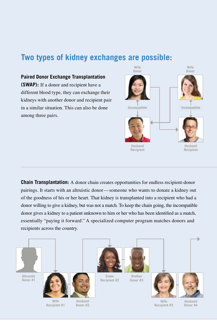# **Two types of kidney exchanges are possible:**

#### **Paired Donor Exchange Transplantation**

**(SWAP):** If a donor and recipient have a different blood type, they can exchange their kidneys with another donor and recipient pair in a similar situation. This can also be done among three pairs.



**Chain Transplantation:** A donor chain creates opportunities for endless recipient-donor pairings. It starts with an altruistic donor —someone who wants to donate a kidney out of the goodness of his or her heart. That kidney is transplanted into a recipient who had a donor willing to give a kidney, but was not a match. To keep the chain going, the incompatible donor gives a kidney to a patient unknown to him or her who has been identified as a match, essentially "paying it forward." A specialized computer program matches donors and recipients across the country.

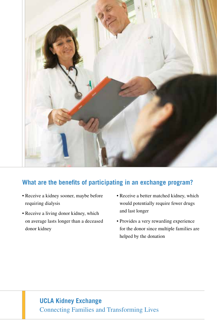

## **What are the benefits of participating in an exchange program?**

- Receive a kidney sooner, maybe before requiring dialysis
- Receive a living donor kidney, which on average lasts longer than a deceased donor kidney
- Receive a better matched kidney, which would potentially require fewer drugs and last longer
- Provides a very rewarding experience for the donor since multiple families are helped by the donation

# **UCLA Kidney Exchange** Connecting Families and Transforming Lives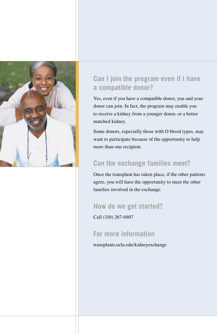

# **Can I join the program even if I have a compatible donor?**

Yes, even if you have a compatible donor, you and your donor can join. In fact, the program may enable you to receive a kidney from a younger donor, or a better matched kidney.

Some donors, especially those with O blood types, may want to participate because of the opportunity to help more than one recipient.

# **Can the exchange families meet?**

Once the transplant has taken place, if the other patients agree, you will have the opportunity to meet the other families involved in the exchange.

### **How do we get started?**

Call (310) 267-6907

### **For more information**

transplants.ucla.edu/kidneyexchange